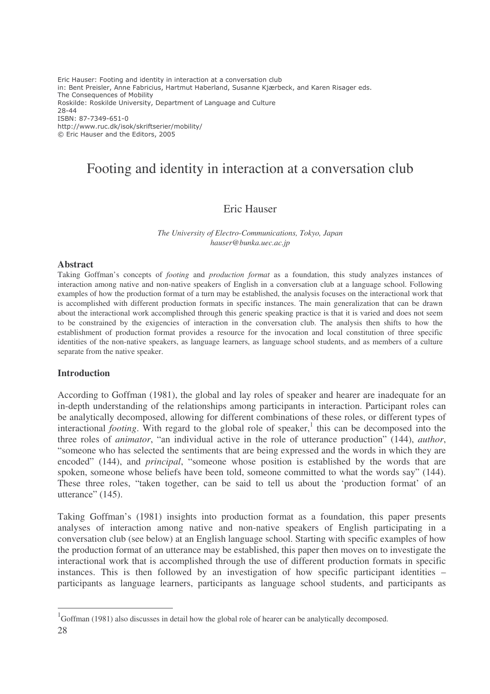Eric Hauser: Footing and identity in interaction at a conversation club in: Bent Preisler, Anne Fabricius, Hartmut Haberland, Susanne Kjærbeck, and Karen Risager eds. The Consequences of Mobility Roskilde: Roskilde University, Department of Language and Culture 28-44 ISBN: 87-7349-651-0 http://www.ruc.dk/isok/skriftserier/mobility/ © Eric Hauser and the Editors, 2005

# Footing and identity in interaction at a conversation club

## Eric Hauser

*The University of Electro-Communications, Tokyo, Japan hauser@bunka.uec.ac.jp*

#### **Abstract**

Taking Goffman's concepts of *footing* and *production format* as a foundation, this study analyzes instances of interaction among native and non-native speakers of English in a conversation club at a language school. Following examples of how the production format of a turn may be established, the analysis focuses on the interactional work that is accomplished with different production formats in specific instances. The main generalization that can be drawn about the interactional work accomplished through this generic speaking practice is that it is varied and does not seem to be constrained by the exigencies of interaction in the conversation club. The analysis then shifts to how the establishment of production format provides a resource for the invocation and local constitution of three specific identities of the non-native speakers, as language learners, as language school students, and as members of a culture separate from the native speaker.

#### **Introduction**

According to Goffman (1981), the global and lay roles of speaker and hearer are inadequate for an in-depth understanding of the relationships among participants in interaction. Participant roles can be analytically decomposed, allowing for different combinations of these roles, or different types of interactional *footing*. With regard to the global role of speaker,<sup>1</sup> this can be decomposed into the three roles of *animator*, "an individual active in the role of utterance production" (144), *author*, "someone who has selected the sentiments that are being expressed and the words in which they are encoded" (144), and *principal*, "someone whose position is established by the words that are spoken, someone whose beliefs have been told, someone committed to what the words say" (144). These three roles, "taken together, can be said to tell us about the 'production format' of an utterance" (145).

Taking Goffman's (1981) insights into production format as a foundation, this paper presents analyses of interaction among native and non-native speakers of English participating in a conversation club (see below) at an English language school. Starting with specific examples of how the production format of an utterance may be established, this paper then moves on to investigate the interactional work that is accomplished through the use of different production formats in specific instances. This is then followed by an investigation of how specific participant identities – participants as language learners, participants as language school students, and participants as

<sup>28</sup> <sup>1</sup>Goffman (1981) also discusses in detail how the global role of hearer can be analytically decomposed.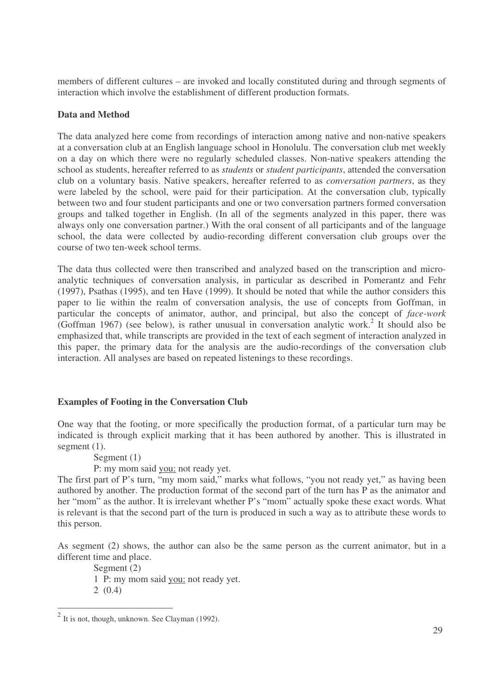members of different cultures – are invoked and locally constituted during and through segments of interaction which involve the establishment of different production formats.

## **Data and Method**

The data analyzed here come from recordings of interaction among native and non-native speakers at a conversation club at an English language school in Honolulu. The conversation club met weekly on a day on which there were no regularly scheduled classes. Non-native speakers attending the school as students, hereafter referred to as *students* or *student participants*, attended the conversation club on a voluntary basis. Native speakers, hereafter referred to as *conversation partners*, as they were labeled by the school, were paid for their participation. At the conversation club, typically between two and four student participants and one or two conversation partners formed conversation groups and talked together in English. (In all of the segments analyzed in this paper, there was always only one conversation partner.) With the oral consent of all participants and of the language school, the data were collected by audio-recording different conversation club groups over the course of two ten-week school terms.

The data thus collected were then transcribed and analyzed based on the transcription and microanalytic techniques of conversation analysis, in particular as described in Pomerantz and Fehr (1997), Psathas (1995), and ten Have (1999). It should be noted that while the author considers this paper to lie within the realm of conversation analysis, the use of concepts from Goffman, in particular the concepts of animator, author, and principal, but also the concept of *face-work* (Goffman 1967) (see below), is rather unusual in conversation analytic work. 2 It should also be emphasized that, while transcripts are provided in the text of each segment of interaction analyzed in this paper, the primary data for the analysis are the audio-recordings of the conversation club interaction. All analyses are based on repeated listenings to these recordings.

## **Examples of Footing in the Conversation Club**

One way that the footing, or more specifically the production format, of a particular turn may be indicated is through explicit marking that it has been authored by another. This is illustrated in segment (1).

Segment (1)

P: my mom said you: not ready yet.

The first part of P's turn, "my mom said," marks what follows, "you not ready yet," as having been authored by another. The production format of the second part of the turn has P as the animator and her "mom" as the author. It is irrelevant whether P's "mom" actually spoke these exact words. What is relevant is that the second part of the turn is produced in such a way as to attribute these words to this person.

As segment (2) shows, the author can also be the same person as the current animator, but in a different time and place.

Segment (2) 1 P: my mom said you: not ready yet. 2 (0.4)

 $2$  It is not, though, unknown. See Clayman (1992).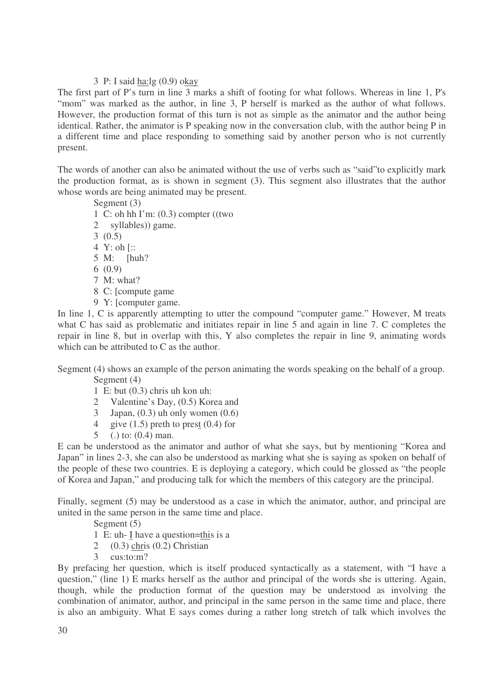#### 3 P: I said ha:lg (0.9) okay

The first part of P's turn in line 3 marks a shift of footing for what follows. Whereas in line 1, P's "mom" was marked as the author, in line 3, P herself is marked as the author of what follows. However, the production format of this turn is not as simple as the animator and the author being identical. Rather, the animator is P speaking now in the conversation club, with the author being P in a different time and place responding to something said by another person who is not currently present.

The words of another can also be animated without the use of verbs such as "said"to explicitly mark the production format, as is shown in segment (3). This segment also illustrates that the author whose words are being animated may be present.

Segment (3) 1 C: oh hh I'm: (0.3) compter ((two 2 syllables)) game. 3 (0.5) 4 Y: oh [:: 5 M: [huh? 6 (0.9) 7 M: what? 8 C: [compute game 9 Y: [computer game.

In line 1, C is apparently attempting to utter the compound "computer game." However, M treats what C has said as problematic and initiates repair in line 5 and again in line 7. C completes the repair in line 8, but in overlap with this, Y also completes the repair in line 9, animating words which can be attributed to C as the author.

Segment (4) shows an example of the person animating the words speaking on the behalf of a group. Segment (4)

- 1 E: but (0.3) chris uh kon uh:
- 2 Valentine's Day, (0.5) Korea and
- 3 Japan,  $(0.3)$  uh only women  $(0.6)$
- 4 give  $(1.5)$  preth to prest  $(0.4)$  for
- 5 (.) to: (0.4) man.

E can be understood as the animator and author of what she says, but by mentioning "Korea and Japan" in lines 2-3, she can also be understood as marking what she is saying as spoken on behalf of the people of these two countries. E is deploying a category, which could be glossed as "the people of Korea and Japan," and producing talk for which the members of this category are the principal.

Finally, segment (5) may be understood as a case in which the animator, author, and principal are united in the same person in the same time and place.

Segment  $(5)$ 

- 1 E: uh- I have a question=this is a
- 2 (0.3) chris (0.2) Christian
- 3 cus:to:m?

By prefacing her question, which is itself produced syntactically as a statement, with "I have a question," (line 1) E marks herself as the author and principal of the words she is uttering. Again, though, while the production format of the question may be understood as involving the combination of animator, author, and principal in the same person in the same time and place, there is also an ambiguity. What E says comes during a rather long stretch of talk which involves the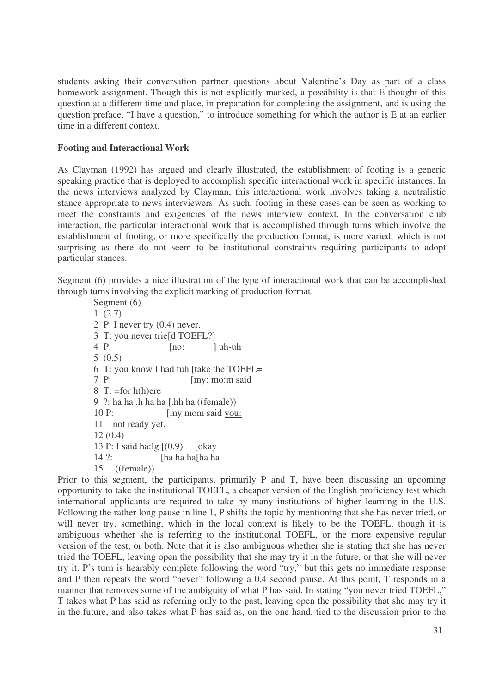students asking their conversation partner questions about Valentine's Day as part of a class homework assignment. Though this is not explicitly marked, a possibility is that E thought of this question at a different time and place, in preparation for completing the assignment, and is using the question preface, "I have a question," to introduce something for which the author is E at an earlier time in a different context.

### **Footing and Interactional Work**

As Clayman (1992) has argued and clearly illustrated, the establishment of footing is a generic speaking practice that is deployed to accomplish specific interactional work in specific instances. In the news interviews analyzed by Clayman, this interactional work involves taking a neutralistic stance appropriate to news interviewers. As such, footing in these cases can be seen as working to meet the constraints and exigencies of the news interview context. In the conversation club interaction, the particular interactional work that is accomplished through turns which involve the establishment of footing, or more specifically the production format, is more varied, which is not surprising as there do not seem to be institutional constraints requiring participants to adopt particular stances.

Segment (6) provides a nice illustration of the type of interactional work that can be accomplished through turns involving the explicit marking of production format.

Segment (6) 1 (2.7) 2 P: I never try (0.4) never. 3 T: you never trie[d TOEFL?]  $4 \text{ P:}$  [no: ] uh-uh 5 (0.5) 6 T: you know I had tuh [take the TOEFL= 7 P: [my: mo:m said 8 T:  $=$ for h(h)ere 9 ?: ha ha .h ha ha [.hh ha ((female)) 10 P: [my mom said you: 11 not ready yet. 12 (0.4) 13 P: I said ha:lg [(0.9) [okay 14 ?: [ha ha ha[ha ha 15 ((female))

Prior to this segment, the participants, primarily P and T, have been discussing an upcoming opportunity to take the institutional TOEFL, a cheaper version of the English proficiency test which international applicants are required to take by many institutions of higher learning in the U.S. Following the rather long pause in line 1, P shifts the topic by mentioning that she has never tried, or will never try, something, which in the local context is likely to be the TOEFL, though it is ambiguous whether she is referring to the institutional TOEFL, or the more expensive regular version of the test, or both. Note that it is also ambiguous whether she is stating that she has never tried the TOEFL, leaving open the possibility that she may try it in the future, or that she will never try it. P's turn is hearably complete following the word "try," but this gets no immediate response and P then repeats the word "never" following a 0.4 second pause. At this point, T responds in a manner that removes some of the ambiguity of what P has said. In stating "you never tried TOEFL," T takes what P has said as referring only to the past, leaving open the possibility that she may try it in the future, and also takes what P has said as, on the one hand, tied to the discussion prior to the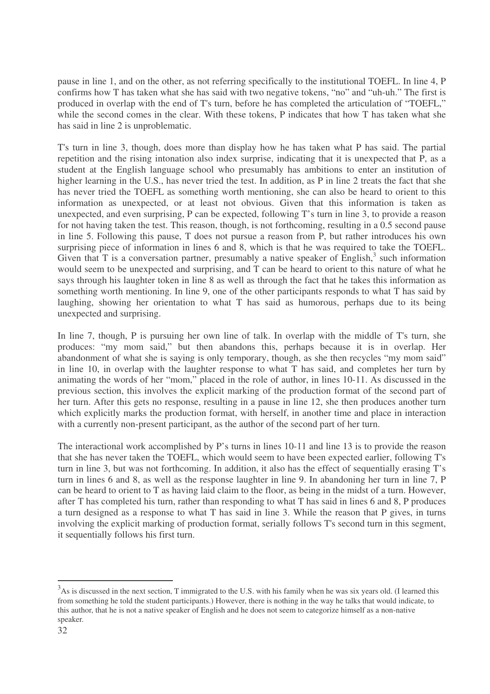pause in line 1, and on the other, as not referring specifically to the institutional TOEFL. In line 4, P confirms how T has taken what she has said with two negative tokens, "no" and "uh-uh." The first is produced in overlap with the end of T's turn, before he has completed the articulation of "TOEFL," while the second comes in the clear. With these tokens, P indicates that how T has taken what she has said in line 2 is unproblematic.

T's turn in line 3, though, does more than display how he has taken what P has said. The partial repetition and the rising intonation also index surprise, indicating that it is unexpected that P, as a student at the English language school who presumably has ambitions to enter an institution of higher learning in the U.S., has never tried the test. In addition, as P in line 2 treats the fact that she has never tried the TOEFL as something worth mentioning, she can also be heard to orient to this information as unexpected, or at least not obvious. Given that this information is taken as unexpected, and even surprising, P can be expected, following T's turn in line 3, to provide a reason for not having taken the test. This reason, though, is not forthcoming, resulting in a 0.5 second pause in line 5. Following this pause, T does not pursue a reason from P, but rather introduces his own surprising piece of information in lines 6 and 8, which is that he was required to take the TOEFL. Given that T is a conversation partner, presumably a native speaker of English,<sup>3</sup> such information would seem to be unexpected and surprising, and T can be heard to orient to this nature of what he says through his laughter token in line 8 as well as through the fact that he takes this information as something worth mentioning. In line 9, one of the other participants responds to what T has said by laughing, showing her orientation to what T has said as humorous, perhaps due to its being unexpected and surprising.

In line 7, though, P is pursuing her own line of talk. In overlap with the middle of T's turn, she produces: "my mom said," but then abandons this, perhaps because it is in overlap. Her abandonment of what she is saying is only temporary, though, as she then recycles "my mom said" in line 10, in overlap with the laughter response to what T has said, and completes her turn by animating the words of her "mom," placed in the role of author, in lines 10-11. As discussed in the previous section, this involves the explicit marking of the production format of the second part of her turn. After this gets no response, resulting in a pause in line 12, she then produces another turn which explicitly marks the production format, with herself, in another time and place in interaction with a currently non-present participant, as the author of the second part of her turn.

The interactional work accomplished by P's turns in lines 10-11 and line 13 is to provide the reason that she has never taken the TOEFL, which would seem to have been expected earlier, following T's turn in line 3, but was not forthcoming. In addition, it also has the effect of sequentially erasing T's turn in lines 6 and 8, as well as the response laughter in line 9. In abandoning her turn in line 7, P can be heard to orient to T as having laid claim to the floor, as being in the midst of a turn. However, after T has completed his turn, rather than responding to what T has said in lines 6 and 8, P produces a turn designed as a response to what T has said in line 3. While the reason that P gives, in turns involving the explicit marking of production format, serially follows T's second turn in this segment, it sequentially follows his first turn.

 $3$ As is discussed in the next section, T immigrated to the U.S. with his family when he was six years old. (I learned this from something he told the student participants.) However, there is nothing in the way he talks that would indicate, to this author, that he is not a native speaker of English and he does not seem to categorize himself as a non-native speaker.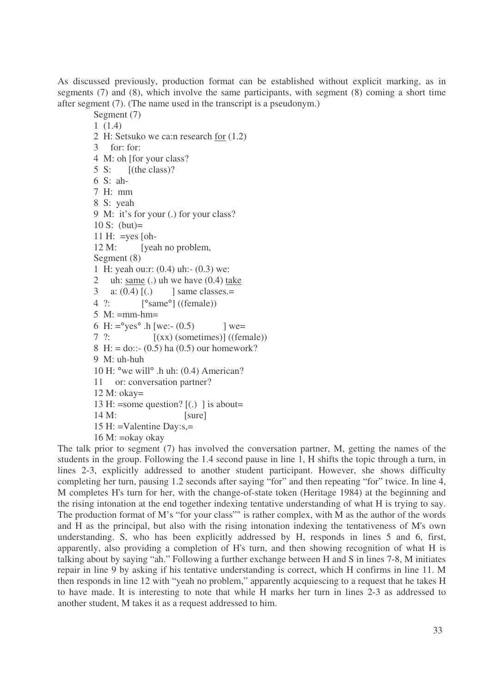As discussed previously, production format can be established without explicit marking, as in segments (7) and (8), which involve the same participants, with segment (8) coming a short time after segment (7). (The name used in the transcript is a pseudonym.)

2 H: Setsuko we ca:n research for (1.2) 3 for: for: 4 M: oh [for your class? 5 S: [(the class)? 6 S: ah-7 H: mm 8 S: yeah 9 M: it's for your (.) for your class? 10 S: (but)= 11 H:  $=$ yes [oh-12 M: [yeah no problem, Segment (8) 1 H: yeah ou:r: (0.4) uh:- (0.3) we: 2 uh:  $\frac{\text{same}}{\text{time}}$  (.) uh we have (0.4) take 3 a:  $(0.4)$   $[(.)$  ] same classes.= 4 ?: [°same°] ((female))  $5$  M:  $=$ mm-hm $=$ 6 H:  $=$ <sup>o</sup>yes<sup>o</sup> .h [we:- (0.5) ] we=  $7$  ?:  $[(xx)$  (sometimes)] ((female)) 8 H: = do::-  $(0.5)$  ha  $(0.5)$  our homework? 9 M: uh-huh 10 H: °we will° .h uh: (0.4) American? 11 or: conversation partner? 12 M: okay= 13 H: =some question?  $[(.)$  ] is about= 14 M: [sure] 15 H: =Valentine Day:s,= 16 M: =okay okay

Segment (7) 1 (1.4)

The talk prior to segment (7) has involved the conversation partner, M, getting the names of the students in the group. Following the 1.4 second pause in line 1, H shifts the topic through a turn, in lines 2-3, explicitly addressed to another student participant. However, she shows difficulty completing her turn, pausing 1.2 seconds after saying "for" and then repeating "for" twice. In line 4, M completes H's turn for her, with the change-of-state token (Heritage 1984) at the beginning and the rising intonation at the end together indexing tentative understanding of what H is trying to say. The production format of M's "for your class"" is rather complex, with M as the author of the words and H as the principal, but also with the rising intonation indexing the tentativeness of M's own understanding. S, who has been explicitly addressed by H, responds in lines 5 and 6, first, apparently, also providing a completion of H's turn, and then showing recognition of what H is talking about by saying "ah." Following a further exchange between H and S in lines 7-8, M initiates repair in line 9 by asking if his tentative understanding is correct, which H confirms in line 11. M then responds in line 12 with "yeah no problem," apparently acquiescing to a request that he takes H to have made. It is interesting to note that while H marks her turn in lines 2-3 as addressed to another student, M takes it as a request addressed to him.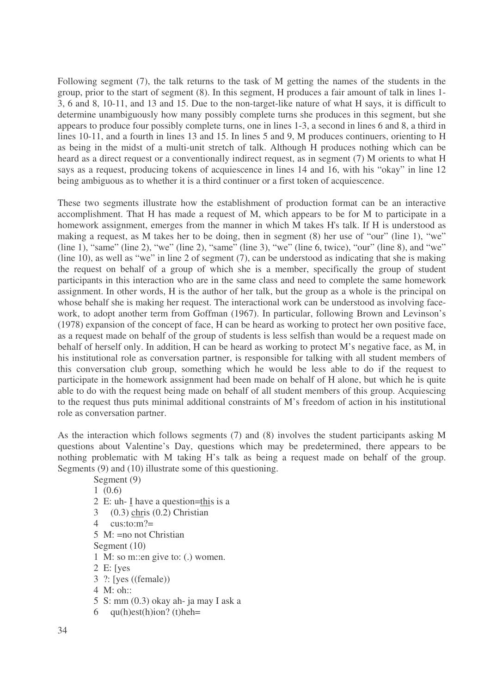Following segment (7), the talk returns to the task of M getting the names of the students in the group, prior to the start of segment (8). In this segment, H produces a fair amount of talk in lines 1- 3, 6 and 8, 10-11, and 13 and 15. Due to the non-target-like nature of what H says, it is difficult to determine unambiguously how many possibly complete turns she produces in this segment, but she appears to produce four possibly complete turns, one in lines 1-3, a second in lines 6 and 8, a third in lines 10-11, and a fourth in lines 13 and 15. In lines 5 and 9, M produces continuers, orienting to H as being in the midst of a multi-unit stretch of talk. Although H produces nothing which can be heard as a direct request or a conventionally indirect request, as in segment (7) M orients to what H says as a request, producing tokens of acquiescence in lines 14 and 16, with his "okay" in line 12 being ambiguous as to whether it is a third continuer or a first token of acquiescence.

These two segments illustrate how the establishment of production format can be an interactive accomplishment. That H has made a request of M, which appears to be for M to participate in a homework assignment, emerges from the manner in which M takes H's talk. If H is understood as making a request, as M takes her to be doing, then in segment (8) her use of "our" (line 1), "we" (line 1), "same" (line 2), "we" (line 2), "same" (line 3), "we" (line 6, twice), "our" (line 8), and "we" (line 10), as well as "we" in line 2 of segment (7), can be understood as indicating that she is making the request on behalf of a group of which she is a member, specifically the group of student participants in this interaction who are in the same class and need to complete the same homework assignment. In other words, H is the author of her talk, but the group as a whole is the principal on whose behalf she is making her request. The interactional work can be understood as involving facework, to adopt another term from Goffman (1967). In particular, following Brown and Levinson's (1978) expansion of the concept of face, H can be heard as working to protect her own positive face, as a request made on behalf of the group of students is less selfish than would be a request made on behalf of herself only. In addition, H can be heard as working to protect M's negative face, as M, in his institutional role as conversation partner, is responsible for talking with all student members of this conversation club group, something which he would be less able to do if the request to participate in the homework assignment had been made on behalf of H alone, but which he is quite able to do with the request being made on behalf of all student members of this group. Acquiescing to the request thus puts minimal additional constraints of M's freedom of action in his institutional role as conversation partner.

As the interaction which follows segments (7) and (8) involves the student participants asking M questions about Valentine's Day, questions which may be predetermined, there appears to be nothing problematic with M taking H's talk as being a request made on behalf of the group. Segments (9) and (10) illustrate some of this questioning.

Segment (9)

1 (0.6)

- 2 E: uh- I have a question=this is a
- 3 (0.3) chris (0.2) Christian
- 4 cus: $t$ o: $m$ ?=
- 5 M: =no not Christian
- Segment (10)
- 1 M: so m::en give to: (.) women.
- 2 E: [yes
- 3 ?: [yes ((female))
- 4 M: oh::
- 5 S: mm (0.3) okay ah- ja may I ask a
- 6  $qu(h)est(h)ion?$  (t)heh=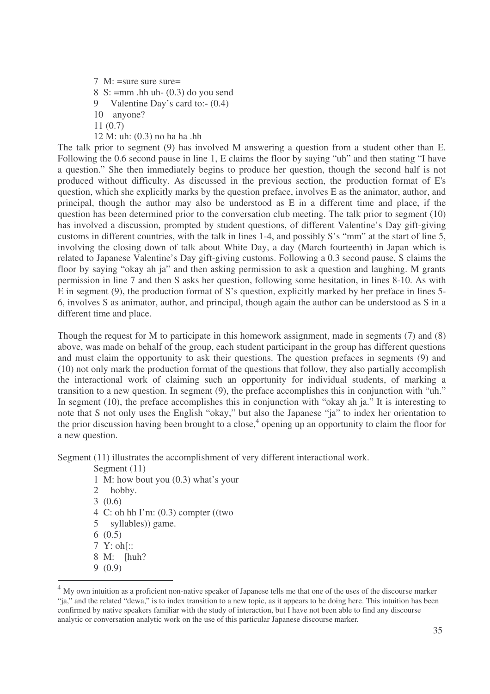$7 \text{ M}$ : =sure sure sure= 8 S:  $=$ mm .hh uh-  $(0.3)$  do you send 9 Valentine Day's card to:-  $(0.4)$ 10 anyone? 11 (0.7) 12 M: uh: (0.3) no ha ha .hh

The talk prior to segment (9) has involved M answering a question from a student other than E. Following the 0.6 second pause in line 1, E claims the floor by saying "uh" and then stating "I have a question." She then immediately begins to produce her question, though the second half is not produced without difficulty. As discussed in the previous section, the production format of E's question, which she explicitly marks by the question preface, involves E as the animator, author, and principal, though the author may also be understood as E in a different time and place, if the question has been determined prior to the conversation club meeting. The talk prior to segment (10) has involved a discussion, prompted by student questions, of different Valentine's Day gift-giving customs in different countries, with the talk in lines 1-4, and possibly S's "mm" at the start of line 5, involving the closing down of talk about White Day, a day (March fourteenth) in Japan which is related to Japanese Valentine's Day gift-giving customs. Following a 0.3 second pause, S claims the floor by saying "okay ah ja" and then asking permission to ask a question and laughing. M grants permission in line 7 and then S asks her question, following some hesitation, in lines 8-10. As with E in segment (9), the production format of S's question, explicitly marked by her preface in lines 5- 6, involves S as animator, author, and principal, though again the author can be understood as S in a different time and place.

Though the request for M to participate in this homework assignment, made in segments (7) and (8) above, was made on behalf of the group, each student participant in the group has different questions and must claim the opportunity to ask their questions. The question prefaces in segments (9) and (10) not only mark the production format of the questions that follow, they also partially accomplish the interactional work of claiming such an opportunity for individual students, of marking a transition to a new question. In segment (9), the preface accomplishes this in conjunction with "uh." In segment (10), the preface accomplishes this in conjunction with "okay ah ja." It is interesting to note that S not only uses the English "okay," but also the Japanese "ja" to index her orientation to the prior discussion having been brought to a close, 4 opening up an opportunity to claim the floor for a new question.

Segment (11) illustrates the accomplishment of very different interactional work.

Segment (11) 1 M: how bout you (0.3) what's your 2 hobby. 3 (0.6) 4 C: oh hh I'm: (0.3) compter ((two 5 syllables)) game. 6 (0.5) 7 Y: oh[:: 8 M: [huh?

<sup>9</sup> (0.9)

 $<sup>4</sup>$  My own intuition as a proficient non-native speaker of Japanese tells me that one of the uses of the discourse marker</sup> "ja," and the related "dewa," is to index transition to a new topic, as it appears to be doing here. This intuition has been confirmed by native speakers familiar with the study of interaction, but I have not been able to find any discourse analytic or conversation analytic work on the use of this particular Japanese discourse marker.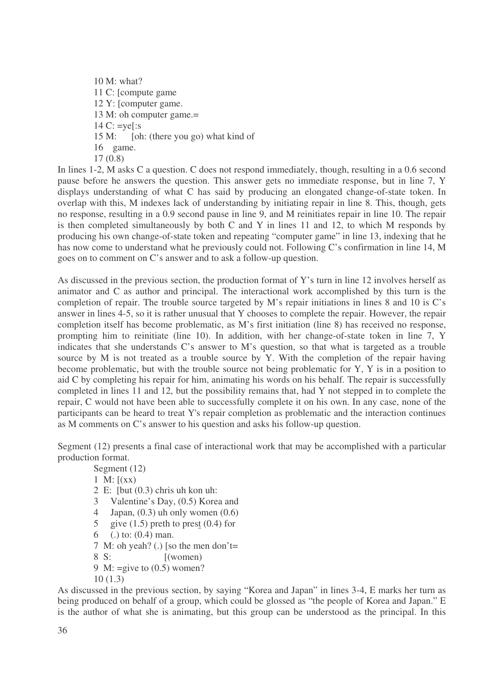10 M: what? 11 C: [compute game 12 Y: [computer game. 13 M: oh computer game.= 14 C: =ye[:s 15 M: [oh: (there you go) what kind of 16 game. 17 (0.8)

In lines 1-2, M asks C a question. C does not respond immediately, though, resulting in a 0.6 second pause before he answers the question. This answer gets no immediate response, but in line 7, Y displays understanding of what C has said by producing an elongated change-of-state token. In overlap with this, M indexes lack of understanding by initiating repair in line 8. This, though, gets no response, resulting in a 0.9 second pause in line 9, and M reinitiates repair in line 10. The repair is then completed simultaneously by both C and Y in lines 11 and 12, to which M responds by producing his own change-of-state token and repeating "computer game" in line 13, indexing that he has now come to understand what he previously could not. Following C's confirmation in line 14, M goes on to comment on C's answer and to ask a follow-up question.

As discussed in the previous section, the production format of Y's turn in line 12 involves herself as animator and C as author and principal. The interactional work accomplished by this turn is the completion of repair. The trouble source targeted by M's repair initiations in lines 8 and 10 is C's answer in lines 4-5, so it is rather unusual that Y chooses to complete the repair. However, the repair completion itself has become problematic, as M's first initiation (line 8) has received no response, prompting him to reinitiate (line 10). In addition, with her change-of-state token in line 7, Y indicates that she understands C's answer to M's question, so that what is targeted as a trouble source by M is not treated as a trouble source by Y. With the completion of the repair having become problematic, but with the trouble source not being problematic for Y, Y is in a position to aid C by completing his repair for him, animating his words on his behalf. The repair is successfully completed in lines 11 and 12, but the possibility remains that, had Y not stepped in to complete the repair, C would not have been able to successfully complete it on his own. In any case, none of the participants can be heard to treat Y's repair completion as problematic and the interaction continues as M comments on C's answer to his question and asks his follow-up question.

Segment (12) presents a final case of interactional work that may be accomplished with a particular production format.

Segment (12) 1 M:  $(xx)$ 2 E: [but (0.3) chris uh kon uh: 3 Valentine's Day, (0.5) Korea and 4 Japan,  $(0.3)$  uh only women  $(0.6)$ 5 give  $(1.5)$  preth to prest  $(0.4)$  for 6 (.) to: (0.4) man. 7 M: oh yeah? (.) [so the men don't= 8 S: [(women) 9 M: =give to (0.5) women?

10 (1.3)

As discussed in the previous section, by saying "Korea and Japan" in lines 3-4, E marks her turn as being produced on behalf of a group, which could be glossed as "the people of Korea and Japan." E is the author of what she is animating, but this group can be understood as the principal. In this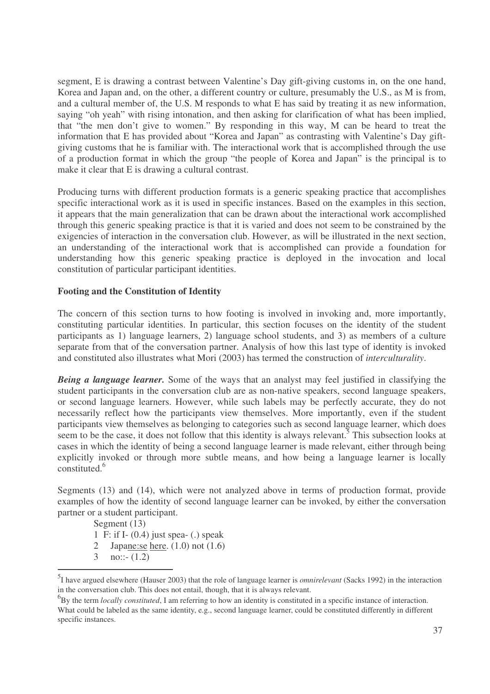segment, E is drawing a contrast between Valentine's Day gift-giving customs in, on the one hand, Korea and Japan and, on the other, a different country or culture, presumably the U.S., as M is from, and a cultural member of, the U.S. M responds to what E has said by treating it as new information, saying "oh yeah" with rising intonation, and then asking for clarification of what has been implied, that "the men don't give to women." By responding in this way, M can be heard to treat the information that E has provided about "Korea and Japan" as contrasting with Valentine's Day giftgiving customs that he is familiar with. The interactional work that is accomplished through the use of a production format in which the group "the people of Korea and Japan" is the principal is to make it clear that E is drawing a cultural contrast.

Producing turns with different production formats is a generic speaking practice that accomplishes specific interactional work as it is used in specific instances. Based on the examples in this section, it appears that the main generalization that can be drawn about the interactional work accomplished through this generic speaking practice is that it is varied and does not seem to be constrained by the exigencies of interaction in the conversation club. However, as will be illustrated in the next section, an understanding of the interactional work that is accomplished can provide a foundation for understanding how this generic speaking practice is deployed in the invocation and local constitution of particular participant identities.

## **Footing and the Constitution of Identity**

The concern of this section turns to how footing is involved in invoking and, more importantly, constituting particular identities. In particular, this section focuses on the identity of the student participants as 1) language learners, 2) language school students, and 3) as members of a culture separate from that of the conversation partner. Analysis of how this last type of identity is invoked and constituted also illustrates what Mori (2003) has termed the construction of *interculturality*.

*Being a language learner.* Some of the ways that an analyst may feel justified in classifying the student participants in the conversation club are as non-native speakers, second language speakers, or second language learners. However, while such labels may be perfectly accurate, they do not necessarily reflect how the participants view themselves. More importantly, even if the student participants view themselves as belonging to categories such as second language learner, which does seem to be the case, it does not follow that this identity is always relevant.<sup>5</sup> This subsection looks at cases in which the identity of being a second language learner is made relevant, either through being explicitly invoked or through more subtle means, and how being a language learner is locally constituted. 6

Segments (13) and (14), which were not analyzed above in terms of production format, provide examples of how the identity of second language learner can be invoked, by either the conversation partner or a student participant.

Segment  $(13)$ 

- 1 F: if I- (0.4) just spea- (.) speak
- 2 Japane: se here.  $(1.0)$  not  $(1.6)$
- 3 no::-  $(1.2)$

<sup>5</sup> I have argued elsewhere (Hauser 2003) that the role of language learner is *omnirelevant* (Sacks 1992) in the interaction in the conversation club. This does not entail, though, that it is always relevant.

<sup>6</sup> By the term *locally constituted*, I am referring to how an identity is constituted in a specific instance of interaction. What could be labeled as the same identity, e.g., second language learner, could be constituted differently in different specific instances.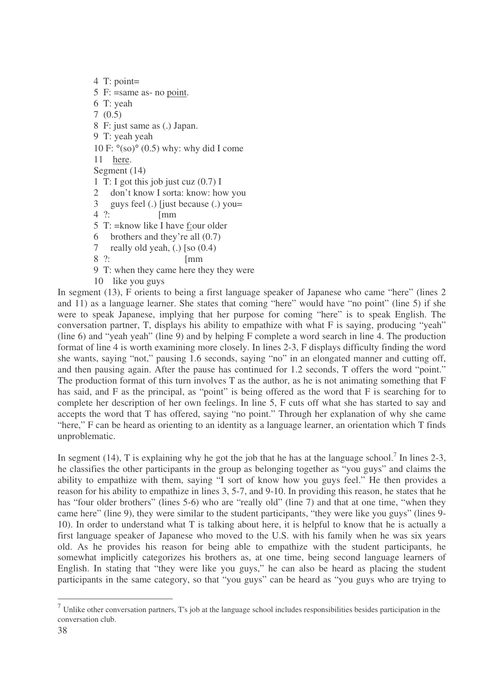4 T: point= 5 F: =same as- no point. 6 T: yeah 7 (0.5) 8 F: just same as (.) Japan. 9 T: yeah yeah 10 F:  $\degree$ (so) $\degree$  (0.5) why: why did I come 11 here. Segment (14) 1 T: I got this job just cuz  $(0.7)$  I 2 don't know I sorta: know: how you  $3$  guys feel (.) [just because (.) you=<br>4 ?: [mm]  $\sqrt{2}$ 5 T: =know like I have f:our older 6 brothers and they're all (0.7) 7 really old yeah, (.) [so (0.4) 8 ?: [mm 9 T: when they came here they they were 10 like you guys

In segment (13), F orients to being a first language speaker of Japanese who came "here" (lines 2 and 11) as a language learner. She states that coming "here" would have "no point" (line 5) if she were to speak Japanese, implying that her purpose for coming "here" is to speak English. The conversation partner, T, displays his ability to empathize with what F is saying, producing "yeah" (line 6) and "yeah yeah" (line 9) and by helping F complete a word search in line 4. The production format of line 4 is worth examining more closely. In lines 2-3, F displays difficulty finding the word she wants, saying "not," pausing 1.6 seconds, saying "no" in an elongated manner and cutting off, and then pausing again. After the pause has continued for 1.2 seconds, T offers the word "point." The production format of this turn involves T as the author, as he is not animating something that F has said, and F as the principal, as "point" is being offered as the word that F is searching for to complete her description of her own feelings. In line 5, F cuts off what she has started to say and accepts the word that T has offered, saying "no point." Through her explanation of why she came "here," F can be heard as orienting to an identity as a language learner, an orientation which T finds unproblematic.

In segment (14), T is explaining why he got the job that he has at the language school.<sup>7</sup> In lines 2-3, he classifies the other participants in the group as belonging together as "you guys" and claims the ability to empathize with them, saying "I sort of know how you guys feel." He then provides a reason for his ability to empathize in lines 3, 5-7, and 9-10. In providing this reason, he states that he has "four older brothers" (lines 5-6) who are "really old" (line 7) and that at one time, "when they came here" (line 9), they were similar to the student participants, "they were like you guys" (lines 9- 10). In order to understand what T is talking about here, it is helpful to know that he is actually a first language speaker of Japanese who moved to the U.S. with his family when he was six years old. As he provides his reason for being able to empathize with the student participants, he somewhat implicitly categorizes his brothers as, at one time, being second language learners of English. In stating that "they were like you guys," he can also be heard as placing the student participants in the same category, so that "you guys" can be heard as "you guys who are trying to

 $<sup>7</sup>$  Unlike other conversation partners, T's job at the language school includes responsibilities besides participation in the</sup> conversation club.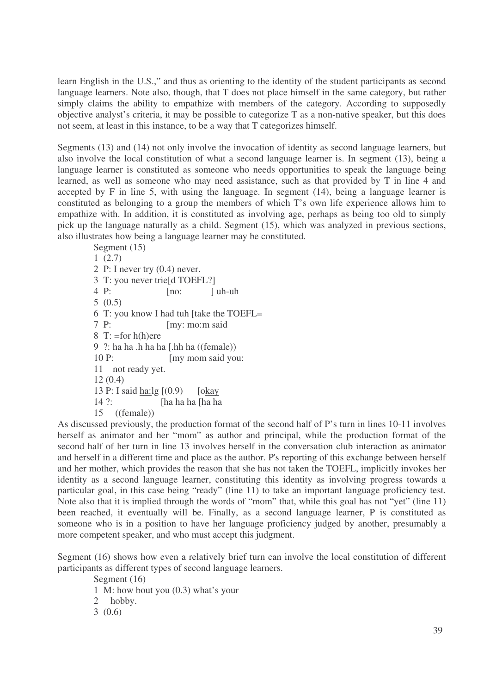learn English in the U.S.," and thus as orienting to the identity of the student participants as second language learners. Note also, though, that T does not place himself in the same category, but rather simply claims the ability to empathize with members of the category. According to supposedly objective analyst's criteria, it may be possible to categorize T as a non-native speaker, but this does not seem, at least in this instance, to be a way that T categorizes himself.

Segments (13) and (14) not only involve the invocation of identity as second language learners, but also involve the local constitution of what a second language learner is. In segment (13), being a language learner is constituted as someone who needs opportunities to speak the language being learned, as well as someone who may need assistance, such as that provided by T in line 4 and accepted by F in line 5, with using the language. In segment (14), being a language learner is constituted as belonging to a group the members of which T's own life experience allows him to empathize with. In addition, it is constituted as involving age, perhaps as being too old to simply pick up the language naturally as a child. Segment (15), which was analyzed in previous sections, also illustrates how being a language learner may be constituted.

Segment (15) 1 (2.7) 2 P: I never try (0.4) never. 3 T: you never trie[d TOEFL?]  $4 \text{ P:}$  [no: ] uh-uh 5 (0.5) 6 T: you know I had tuh [take the TOEFL= 7 P: [my: mo:m said 8 T:  $=$ for h(h)ere 9 ?: ha ha .h ha ha [.hh ha ((female)) 10 P: [my mom said you: 11 not ready yet. 12 (0.4) 13 P: I said ha:lg [(0.9) [okay 14 ?: [ha ha ha [ha ha 15 ((female))

As discussed previously, the production format of the second half of P's turn in lines 10-11 involves herself as animator and her "mom" as author and principal, while the production format of the second half of her turn in line 13 involves herself in the conversation club interaction as animator and herself in a different time and place as the author. P's reporting of this exchange between herself and her mother, which provides the reason that she has not taken the TOEFL, implicitly invokes her identity as a second language learner, constituting this identity as involving progress towards a particular goal, in this case being "ready" (line 11) to take an important language proficiency test. Note also that it is implied through the words of "mom" that, while this goal has not "yet" (line 11) been reached, it eventually will be. Finally, as a second language learner, P is constituted as someone who is in a position to have her language proficiency judged by another, presumably a more competent speaker, and who must accept this judgment.

Segment (16) shows how even a relatively brief turn can involve the local constitution of different participants as different types of second language learners.

Segment (16) 1 M: how bout you (0.3) what's your 2 hobby. 3 (0.6)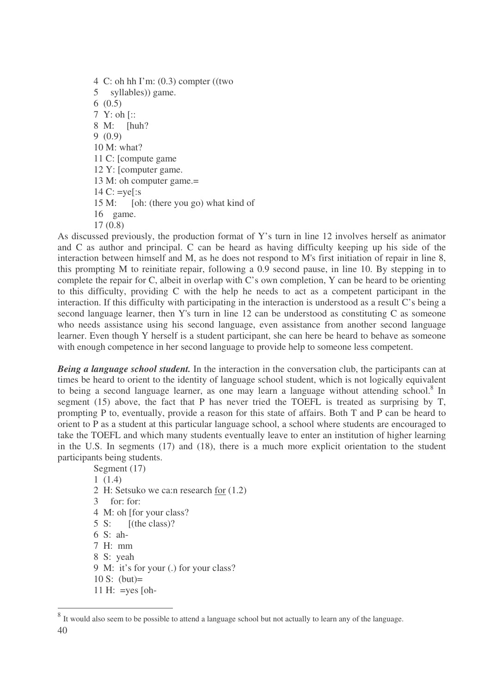4 C: oh hh I'm: (0.3) compter ((two 5 syllables)) game. 6 (0.5) 7 Y: oh [:: 8 M: [huh? 9 (0.9) 10 M: what? 11 C: [compute game 12 Y: [computer game. 13 M: oh computer game.= 14 C:  $=$ ye[:s 15 M: [oh: (there you go) what kind of 16 game. 17 (0.8)

As discussed previously, the production format of Y's turn in line 12 involves herself as animator and C as author and principal. C can be heard as having difficulty keeping up his side of the interaction between himself and M, as he does not respond to M's first initiation of repair in line 8, this prompting M to reinitiate repair, following a 0.9 second pause, in line 10. By stepping in to complete the repair for C, albeit in overlap with C's own completion, Y can be heard to be orienting to this difficulty, providing C with the help he needs to act as a competent participant in the interaction. If this difficulty with participating in the interaction is understood as a result C's being a second language learner, then Y's turn in line 12 can be understood as constituting C as someone who needs assistance using his second language, even assistance from another second language learner. Even though Y herself is a student participant, she can here be heard to behave as someone with enough competence in her second language to provide help to someone less competent.

*Being a language school student.* In the interaction in the conversation club, the participants can at times be heard to orient to the identity of language school student, which is not logically equivalent to being a second language learner, as one may learn a language without attending school.<sup>8</sup> In segment (15) above, the fact that P has never tried the TOEFL is treated as surprising by T, prompting P to, eventually, provide a reason for this state of affairs. Both T and P can be heard to orient to P as a student at this particular language school, a school where students are encouraged to take the TOEFL and which many students eventually leave to enter an institution of higher learning in the U.S. In segments (17) and (18), there is a much more explicit orientation to the student participants being students.

Segment (17) 1 (1.4) 2 H: Setsuko we ca:n research for (1.2) 3 for: for: 4 M: oh [for your class? 5 S: [(the class)? 6 S: ah-7 H: mm 8 S: yeah 9 M: it's for your (.) for your class? 10 S: (but)=

<sup>11</sup> H:  $=$ yes [oh-

<sup>40</sup> <sup>8</sup> It would also seem to be possible to attend a language school but not actually to learn any of the language.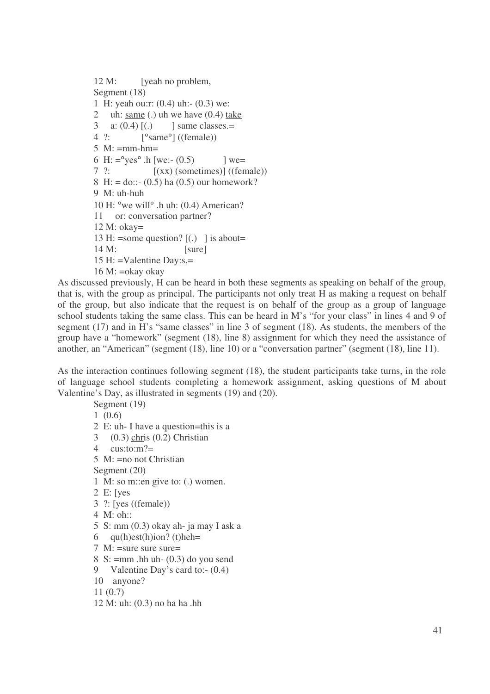M: [yeah no problem, Segment (18) H: yeah ou:r: (0.4) uh:- (0.3) we: uh: same (.) uh we have (0.4) take 3 a:  $(0.4)$   $(.)$  ] same classes.= ?: [°same°] ((female)) M: =mm-hm= 6 H:  $=$ <sup>o</sup>yes<sup>o</sup> .h [we:- (0.5) ] we= ?:  $[(xx)$  (sometimes)] ((female)) 8 H: = do::-  $(0.5)$  ha  $(0.5)$  our homework? M: uh-huh H: °we will° .h uh: (0.4) American? or: conversation partner? 12 M: okay= 13 H: =some question?  $[(.)$  ] is about= 14 M: [sure] H: =Valentine Day:s,= M: =okay okay

As discussed previously, H can be heard in both these segments as speaking on behalf of the group, that is, with the group as principal. The participants not only treat H as making a request on behalf of the group, but also indicate that the request is on behalf of the group as a group of language school students taking the same class. This can be heard in M's "for your class" in lines 4 and 9 of segment (17) and in H's "same classes" in line 3 of segment (18). As students, the members of the group have a "homework" (segment (18), line 8) assignment for which they need the assistance of another, an "American" (segment (18), line 10) or a "conversation partner" (segment (18), line 11).

As the interaction continues following segment (18), the student participants take turns, in the role of language school students completing a homework assignment, asking questions of M about Valentine's Day, as illustrated in segments (19) and (20).

Segment (19) 1 (0.6) 2 E: uh- I have a question=this is a 3 (0.3) chris (0.2) Christian 4  $\text{custo:}m?$ 5 M: =no not Christian Segment (20) 1 M: so m::en give to: (.) women. 2 E: [yes 3 ?: [yes ((female)) 4 M: oh:: 5 S: mm (0.3) okay ah- ja may I ask a 6  $qu(h)est(h)ion?$  (t)heh= 7 M:  $=$ sure sure sure  $=$ 8 S:  $=$ mm .hh uh-  $(0.3)$  do you send 9 Valentine Day's card to:-  $(0.4)$ 10 anyone? 11 (0.7) 12 M: uh: (0.3) no ha ha .hh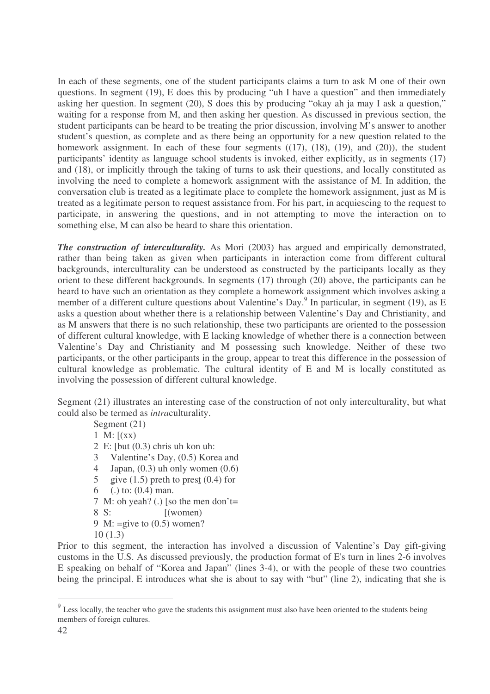In each of these segments, one of the student participants claims a turn to ask M one of their own questions. In segment (19), E does this by producing "uh I have a question" and then immediately asking her question. In segment (20), S does this by producing "okay ah ja may I ask a question," waiting for a response from M, and then asking her question. As discussed in previous section, the student participants can be heard to be treating the prior discussion, involving M's answer to another student's question, as complete and as there being an opportunity for a new question related to the homework assignment. In each of these four segments  $((17), (18), (19),$  and  $(20)$ ), the student participants' identity as language school students is invoked, either explicitly, as in segments (17) and (18), or implicitly through the taking of turns to ask their questions, and locally constituted as involving the need to complete a homework assignment with the assistance of M. In addition, the conversation club is treated as a legitimate place to complete the homework assignment, just as M is treated as a legitimate person to request assistance from. For his part, in acquiescing to the request to participate, in answering the questions, and in not attempting to move the interaction on to something else, M can also be heard to share this orientation.

*The construction of interculturality.* As Mori (2003) has argued and empirically demonstrated, rather than being taken as given when participants in interaction come from different cultural backgrounds, interculturality can be understood as constructed by the participants locally as they orient to these different backgrounds. In segments (17) through (20) above, the participants can be heard to have such an orientation as they complete a homework assignment which involves asking a member of a different culture questions about Valentine's Day.<sup>9</sup> In particular, in segment (19), as E asks a question about whether there is a relationship between Valentine's Day and Christianity, and as M answers that there is no such relationship, these two participants are oriented to the possession of different cultural knowledge, with E lacking knowledge of whether there is a connection between Valentine's Day and Christianity and M possessing such knowledge. Neither of these two participants, or the other participants in the group, appear to treat this difference in the possession of cultural knowledge as problematic. The cultural identity of E and M is locally constituted as involving the possession of different cultural knowledge.

Segment (21) illustrates an interesting case of the construction of not only interculturality, but what could also be termed as *intra*culturality.

Segment (21)

1 M:  $(xx)$ 

- 2 E: [but (0.3) chris uh kon uh:
- 3 Valentine's Day, (0.5) Korea and
- 4 Japan,  $(0.3)$  uh only women  $(0.6)$
- 5 give  $(1.5)$  preth to prest  $(0.4)$  for
- 6 (.) to: (0.4) man.
- 7 M: oh yeah? (.) [so the men don't=
- 8 S: [(women)
- 9 M:  $=$ give to  $(0.5)$  women?
- 10 (1.3)

Prior to this segment, the interaction has involved a discussion of Valentine's Day gift-giving customs in the U.S. As discussed previously, the production format of E's turn in lines 2-6 involves E speaking on behalf of "Korea and Japan" (lines 3-4), or with the people of these two countries being the principal. E introduces what she is about to say with "but" (line 2), indicating that she is

<sup>&</sup>lt;sup>9</sup> Less locally, the teacher who gave the students this assignment must also have been oriented to the students being members of foreign cultures.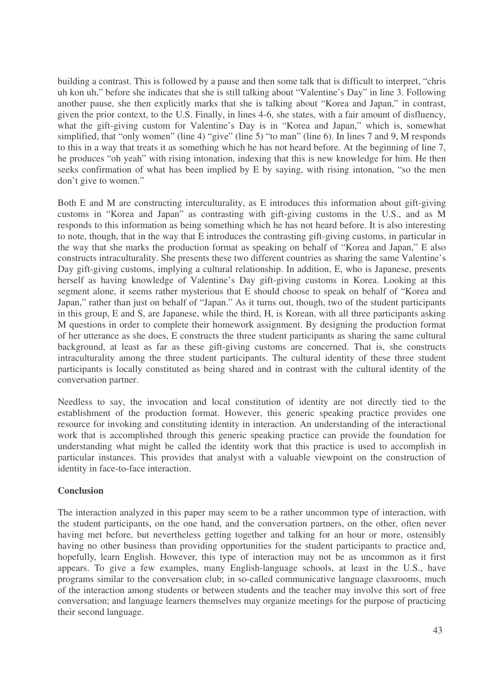building a contrast. This is followed by a pause and then some talk that is difficult to interpret, "chris uh kon uh," before she indicates that she is still talking about "Valentine's Day" in line 3. Following another pause, she then explicitly marks that she is talking about "Korea and Japan," in contrast, given the prior context, to the U.S. Finally, in lines 4-6, she states, with a fair amount of disfluency, what the gift-giving custom for Valentine's Day is in "Korea and Japan," which is, somewhat simplified, that "only women" (line 4) "give" (line 5) "to man" (line 6). In lines 7 and 9, M responds to this in a way that treats it as something which he has not heard before. At the beginning of line 7, he produces "oh yeah" with rising intonation, indexing that this is new knowledge for him. He then seeks confirmation of what has been implied by E by saying, with rising intonation, "so the men don't give to women."

Both E and M are constructing interculturality, as E introduces this information about gift-giving customs in "Korea and Japan" as contrasting with gift-giving customs in the U.S., and as M responds to this information as being something which he has not heard before. It is also interesting to note, though, that in the way that E introduces the contrasting gift-giving customs, in particular in the way that she marks the production format as speaking on behalf of "Korea and Japan," E also constructs intraculturality. She presents these two different countries as sharing the same Valentine's Day gift-giving customs, implying a cultural relationship. In addition, E, who is Japanese, presents herself as having knowledge of Valentine's Day gift-giving customs in Korea. Looking at this segment alone, it seems rather mysterious that E should choose to speak on behalf of "Korea and Japan," rather than just on behalf of "Japan." As it turns out, though, two of the student participants in this group, E and S, are Japanese, while the third, H, is Korean, with all three participants asking M questions in order to complete their homework assignment. By designing the production format of her utterance as she does, E constructs the three student participants as sharing the same cultural background, at least as far as these gift-giving customs are concerned. That is, she constructs intraculturality among the three student participants. The cultural identity of these three student participants is locally constituted as being shared and in contrast with the cultural identity of the conversation partner.

Needless to say, the invocation and local constitution of identity are not directly tied to the establishment of the production format. However, this generic speaking practice provides one resource for invoking and constituting identity in interaction. An understanding of the interactional work that is accomplished through this generic speaking practice can provide the foundation for understanding what might be called the identity work that this practice is used to accomplish in particular instances. This provides that analyst with a valuable viewpoint on the construction of identity in face-to-face interaction.

## **Conclusion**

The interaction analyzed in this paper may seem to be a rather uncommon type of interaction, with the student participants, on the one hand, and the conversation partners, on the other, often never having met before, but nevertheless getting together and talking for an hour or more, ostensibly having no other business than providing opportunities for the student participants to practice and, hopefully, learn English. However, this type of interaction may not be as uncommon as it first appears. To give a few examples, many English-language schools, at least in the U.S., have programs similar to the conversation club; in so-called communicative language classrooms, much of the interaction among students or between students and the teacher may involve this sort of free conversation; and language learners themselves may organize meetings for the purpose of practicing their second language.